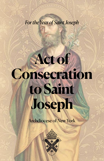## **to Saint Joseph**

**Act of** 

*For the Year of Saint Joseph*

**Consecration** 

*<u>Cndiocese</u>* of New York

**Masterbrand Logomark - One Color**

created using one color, as the examples on this and the  $t$  following pages in a light back-

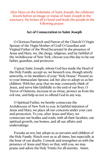After Mass on the Solemnity of Saint Joseph, the celebrant kneels before an image or statue of Saint Joseph in the sanctuary. He invites all to kneel and leads the people in the following prayer:

## **Act of Consecration to Saint Joseph**

O Glorious Patriarch and Patron of the Church! O Virgin Spouse of the Virgin Mother of God! O Guardian and Virginal Father of the Word Incarnate! In the presence of Jesus and Mary, we, the clergy, religious, and lay faithful of the Archdiocese of New York, choose you this day to be our father, guardian, and protector.

O great Saint Joseph, whom God has made the Head of the Holy Family, accept us, we beseech you, though utterly unworthy, to be members of your "Holy House." Present us to your Immaculate Spouse; ask her also to adopt us as her children. With her, pray that we may constantly think of Jesus, and serve him faithfully to the end of our lives. O Terror of Demons, increase in us virtue, protect us from the evil one, and help us not to offend God in any way.

O Spiritual Father, we hereby consecrate the Archdiocese of New York to you. In faithful imitation of Jesus and Mary, we place all our concerns under your care and protection. To you, after Jesus and Mary, we consecrate our bodies and souls, with all their faculties, our spiritual growth, our homes, and all our affairs and undertakings.

Forsake us not, but adopt us as servants and children of the Holy Family. Watch over us at all times, but especially at the hour of our deaths. Console and strengthen us with the presence of Jesus and Mary so that, with you, we may praise and adore the Holy Trinity for all eternity. Amen.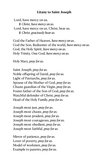## **Litany to Saint Joseph**

Lord, have mercy on us. ! *Christ, have mercy on us.*  Lord, have mercy on us. Christ, hear us. ! *Christ, graciously hear us.*

God the Father of Heaven, *have mercy on us.* God the Son, Redeemer of the world, *have mercy on us.*  God, the Holy Spirit, *have mercy on us.* Holy Trinity, One God, *have mercy on us.* 

Holy Mary, *pray for us.* 

Saint Joseph, *pray for us.*  Noble offspring of David, *pray for us.*  Light of Patriarchs, *pray for us.* Spouse of the Mother of God, *pray for us.* Chaste guardian of the Virgin, *pray for us.* Foster-father of the Son of God, *pray for us.* Watchful defender of Christ, *pray for us.* Head of the Holy Family, *pray for us.*

Joseph most just, *pray for us.* Joseph most chaste, *pray for us.* Joseph most prudent, *pray for us.* Joseph most courageous, *pray for us.* Joseph most obedient, *pray for us.* Joseph most faithful, *pray for us.*

Mirror of patience, *pray for us.* Lover of poverty, *pray for us.* Model of workmen, *pray for us.* Example to parents, *pray for us.*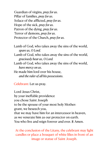Guardian of virgins, *pray for us.* Pillar of families, *pray for us.* Solace of the afflicted, *pray for us.* Hope of the sick, *pray for us.* Patron of the dying, *pray for us.* Terror of demons, *pray for us.* Protector of the Church, *pray for us.* 

- Lamb of God, who takes away the sins of the world, *spare us, O Lord.*
- Lamb of God, who takes away the sins of the world, *graciously hear us, O Lord.*
- Lamb of God, who takes away the sins of the world, *have mercy on us.*
- He made him lord over his house, *and the ruler of all his possessions.*

Celebrant: Let us pray.

Lord Jesus Christ, by your ineffable providence you chose Saint Joseph to be the spouse of your most holy Mother: grant, we beseech you, that we may have him for an intercessor in heaven, as we venerate him as our protector on earth. You who live and reign forever and ever.  $\tilde{R}$  Amen.

At the conclusion of the Litany, the celebrant may light candles or place a bouquet of white lilies in front of an image or statue of Saint Joseph.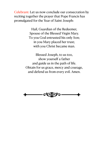Celebrant: Let us now conclude our consecration by reciting together the prayer that Pope Francis has promulgated for the Year of Saint Joseph:

> Hail, Guardian of the Redeemer, Spouse of the Blessed Virgin Mary. To you God entrusted his only Son; in you Mary placed her trust; with you Christ became man.

Blessed Joseph, to us too, show yourself a father and guide us in the path of life. Obtain for us grace, mercy and courage, and defend us from every evil. Amen.